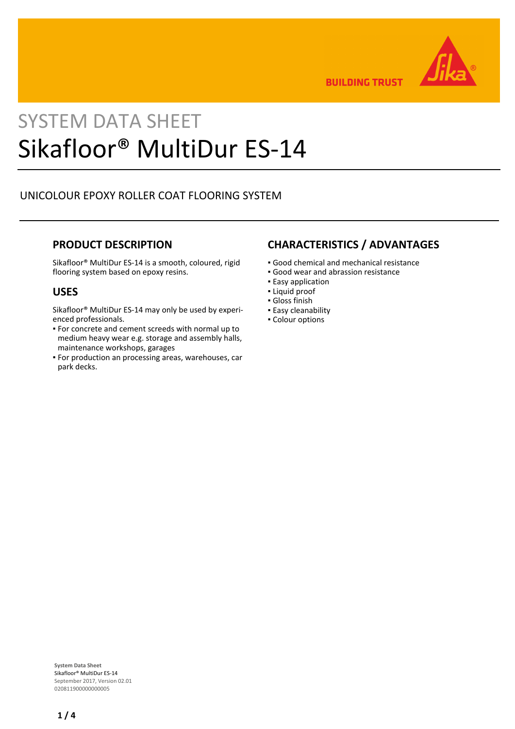

**BUILDING TRUST** 

# SYSTEM DATA SHEET Sikafloor® MultiDur ES-14

# UNICOLOUR EPOXY ROLLER COAT FLOORING SYSTEM

## **PRODUCT DESCRIPTION**

Sikafloor® MultiDur ES-14 is a smooth, coloured, rigid flooring system based on epoxy resins.

## **USES**

Sikafloor® MultiDur ES-14 may only be used by experienced professionals.

- For concrete and cement screeds with normal up to medium heavy wear e.g. storage and assembly halls, maintenance workshops, garages
- For production an processing areas, warehouses, car park decks.

## **CHARACTERISTICS / ADVANTAGES**

- Good chemical and mechanical resistance
- Good wear and abrassion resistance
- **Easy application**
- Liquid proof
- Gloss finish
- Easy cleanability
- Colour options

**System Data Sheet** Sikafloor® MultiDur ES-14 September 2017, Version 02.01 020811900000000005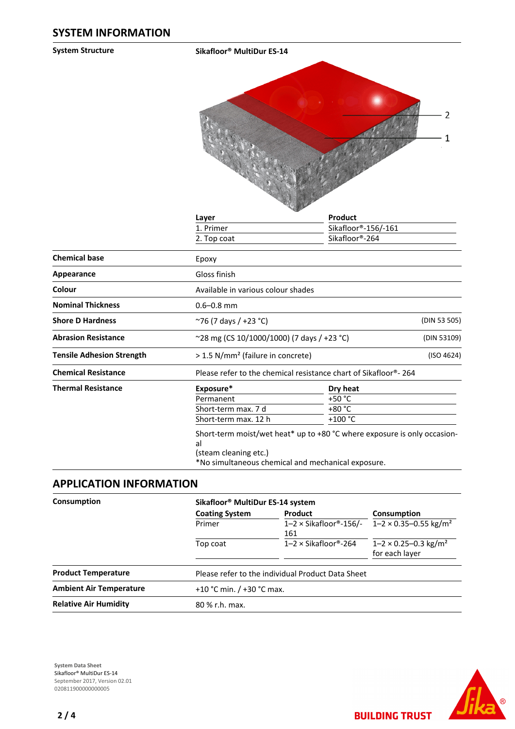**System Structure Sikafloor® MultiDur ES-14**



| Layer                                                           | Product             |                                                                                                                                  |  |  |
|-----------------------------------------------------------------|---------------------|----------------------------------------------------------------------------------------------------------------------------------|--|--|
| 1. Primer                                                       | Sikafloor®-156/-161 |                                                                                                                                  |  |  |
| 2. Top coat                                                     | Sikafloor®-264      |                                                                                                                                  |  |  |
| Epoxy                                                           |                     |                                                                                                                                  |  |  |
| Gloss finish                                                    |                     |                                                                                                                                  |  |  |
| Available in various colour shades                              |                     |                                                                                                                                  |  |  |
| $0.6 - 0.8$ mm                                                  |                     |                                                                                                                                  |  |  |
| ~76 (7 days / +23 °C)                                           |                     | (DIN 53 505)                                                                                                                     |  |  |
| ~28 mg (CS 10/1000/1000) (7 days / +23 °C)                      |                     | (DIN 53109)                                                                                                                      |  |  |
| > 1.5 N/mm <sup>2</sup> (failure in concrete)                   |                     | (ISO 4624)                                                                                                                       |  |  |
| Please refer to the chemical resistance chart of Sikafloor®-264 |                     |                                                                                                                                  |  |  |
| Exposure*                                                       | Dry heat            |                                                                                                                                  |  |  |
| Permanent                                                       | +50 $^{\circ}$ C    |                                                                                                                                  |  |  |
| Short-term max. 7 d                                             | +80 °C              |                                                                                                                                  |  |  |
| Short-term max. 12 h                                            | $+100 °C$           |                                                                                                                                  |  |  |
| al<br>(steam cleaning etc.)                                     |                     |                                                                                                                                  |  |  |
|                                                                 |                     | Short-term moist/wet heat* up to $+80$ °C where exposure is only occasion-<br>*No simultaneous chemical and mechanical exposure. |  |  |

## **APPLICATION INFORMATION**

| Consumption                    |                       | Sikafloor <sup>®</sup> MultiDur ES-14 system      |                                                               |  |  |
|--------------------------------|-----------------------|---------------------------------------------------|---------------------------------------------------------------|--|--|
|                                | <b>Coating System</b> | Product                                           | Consumption                                                   |  |  |
|                                | Primer                | $1-2 \times$ Sikafloor®-156/-<br>161              | $1 - 2 \times 0.35 - 0.55$ kg/m <sup>2</sup>                  |  |  |
|                                | Top coat              | $1-2 \times$ Sikafloor®-264                       | $1 - 2 \times 0.25 - 0.3$ kg/m <sup>2</sup><br>for each layer |  |  |
| <b>Product Temperature</b>     |                       | Please refer to the individual Product Data Sheet |                                                               |  |  |
| <b>Ambient Air Temperature</b> |                       | +10 °C min. $/$ +30 °C max.                       |                                                               |  |  |
| <b>Relative Air Humidity</b>   | 80 % r.h. max.        |                                                   |                                                               |  |  |

**System Data Sheet** Sikafloor® MultiDur ES-14 September 2017, Version 02.01 0208119000000000005



**BUILDING TRUST**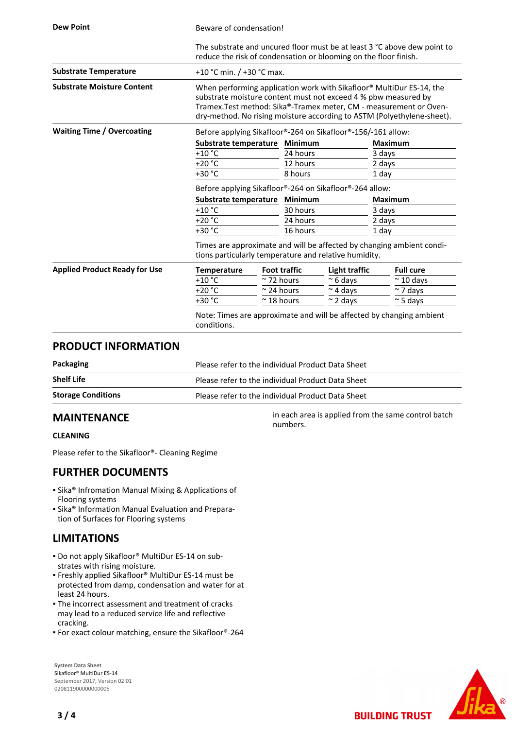| <b>Dew Point</b>                     | Beware of condensation!                                                                                                                                                                                                                                                                |                                                         |                     |                      |                |                  |
|--------------------------------------|----------------------------------------------------------------------------------------------------------------------------------------------------------------------------------------------------------------------------------------------------------------------------------------|---------------------------------------------------------|---------------------|----------------------|----------------|------------------|
|                                      | The substrate and uncured floor must be at least 3 °C above dew point to<br>reduce the risk of condensation or blooming on the floor finish.                                                                                                                                           |                                                         |                     |                      |                |                  |
| <b>Substrate Temperature</b>         |                                                                                                                                                                                                                                                                                        | +10 °C min. $/$ +30 °C max.                             |                     |                      |                |                  |
| <b>Substrate Moisture Content</b>    | When performing application work with Sikafloor® MultiDur ES-14, the<br>substrate moisture content must not exceed 4 % pbw measured by<br>Tramex. Test method: Sika®-Tramex meter, CM - measurement or Oven-<br>dry-method. No rising moisture according to ASTM (Polyethylene-sheet). |                                                         |                     |                      |                |                  |
| <b>Waiting Time / Overcoating</b>    | Before applying Sikafloor®-264 on Sikafloor®-156/-161 allow:                                                                                                                                                                                                                           |                                                         |                     |                      |                |                  |
|                                      |                                                                                                                                                                                                                                                                                        | Substrate temperature<br><b>Minimum</b>                 |                     |                      | <b>Maximum</b> |                  |
|                                      | $+10$ °C                                                                                                                                                                                                                                                                               |                                                         | 24 hours            |                      | 3 days         |                  |
|                                      | $+20 °C$                                                                                                                                                                                                                                                                               |                                                         | 12 hours            |                      | 2 days         |                  |
|                                      | $+30 °C$                                                                                                                                                                                                                                                                               |                                                         |                     |                      | 1 day          |                  |
|                                      |                                                                                                                                                                                                                                                                                        | Before applying Sikafloor®-264 on Sikafloor®-264 allow: |                     |                      |                |                  |
|                                      |                                                                                                                                                                                                                                                                                        | Substrate temperature                                   |                     | <b>Minimum</b>       | <b>Maximum</b> |                  |
|                                      | $+10$ °C                                                                                                                                                                                                                                                                               |                                                         | 30 hours            |                      | 3 days         |                  |
|                                      | $+20 °C$<br>24 hours                                                                                                                                                                                                                                                                   |                                                         |                     | 2 days               |                |                  |
|                                      | +30 °C                                                                                                                                                                                                                                                                                 | 16 hours                                                |                     |                      | 1 day          |                  |
|                                      | Times are approximate and will be affected by changing ambient condi-<br>tions particularly temperature and relative humidity.                                                                                                                                                         |                                                         |                     |                      |                |                  |
| <b>Applied Product Ready for Use</b> | <b>Temperature</b>                                                                                                                                                                                                                                                                     |                                                         | <b>Foot traffic</b> | <b>Light traffic</b> |                | <b>Full cure</b> |
|                                      | $+10 °C$                                                                                                                                                                                                                                                                               | $~\sim$ 72 hours                                        |                     | $~\sim$ 6 days       |                | $~\sim$ 10 days  |
|                                      | $+20 °C$                                                                                                                                                                                                                                                                               | $\approx$ 24 hours                                      |                     | $\sim$ 4 days        |                | $\sim$ 7 days    |
|                                      | +30 °C                                                                                                                                                                                                                                                                                 | $~^{\sim}$ 18 hours                                     |                     | $\approx$ 2 days     |                | $\approx$ 5 days |
|                                      | Note: Times are approximate and will be affected by changing ambient<br>conditions.                                                                                                                                                                                                    |                                                         |                     |                      |                |                  |

### **PRODUCT INFORMATION**

| Packaging                 | Please refer to the individual Product Data Sheet |
|---------------------------|---------------------------------------------------|
| <b>Shelf Life</b>         | Please refer to the individual Product Data Sheet |
| <b>Storage Conditions</b> | Please refer to the individual Product Data Sheet |

numbers.

in each area is applied from the same control batch

## **MAINTENANCE**

#### **CLEANING**

Please refer to the Sikafloor®- Cleaning Regime

## **FURTHER DOCUMENTS**

- **Sika® Infromation Manual Mixing & Applications of** Flooring systems
- **E** Sika<sup>®</sup> Information Manual Evaluation and Preparation of Surfaces for Flooring systems

## **LIMITATIONS**

- Do not apply Sikafloor® MultiDur ES-14 on sub-▪ strates with rising moisture.
- Freshly applied Sikafloor® MultiDur ES-14 must be protected from damp, condensation and water for at least 24 hours.
- The incorrect assessment and treatment of cracks may lead to a reduced service life and reflective cracking.
- For exact colour matching, ensure the Sikafloor®-264

**System Data Sheet** Sikafloor® MultiDur ES-14 September 2017, Version 02.01 020811900000000005



**BUILDING TRUST**